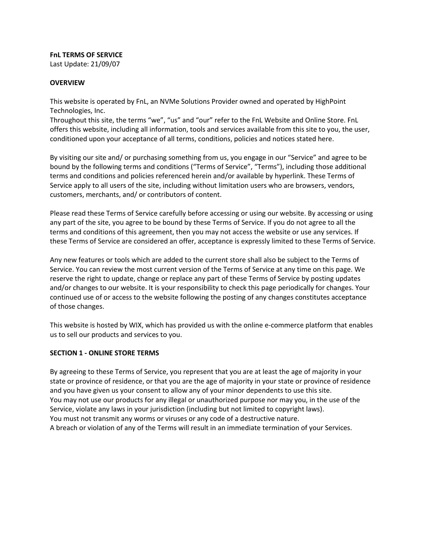# **FnL TERMS OF SERVICE**

Last Update: 21/09/07

#### **OVERVIEW**

This website is operated by FnL, an NVMe Solutions Provider owned and operated by HighPoint Technologies, Inc.

Throughout this site, the terms "we", "us" and "our" refer to the FnL Website and Online Store. FnL offers this website, including all information, tools and services available from this site to you, the user, conditioned upon your acceptance of all terms, conditions, policies and notices stated here.

By visiting our site and/or purchasing something from us, you engage in our "Service" and agree to be bound by the following terms and conditions ("Terms of Service", "Terms"), including those additional terms and conditions and policies referenced herein and/or available by hyperlink. These Terms of Service apply to all users of the site, including without limitation users who are browsers, vendors, customers, merchants, and/ or contributors of content.

Please read these Terms of Service carefully before accessing or using our website. By accessing or using any part of the site, you agree to be bound by these Terms of Service. If you do not agree to all the terms and conditions of this agreement, then you may not access the website or use any services. If these Terms of Service are considered an offer, acceptance is expressly limited to these Terms of Service.

Any new features or tools which are added to the current store shall also be subject to the Terms of Service. You can review the most current version of the Terms of Service at any time on this page. We reserve the right to update, change or replace any part of these Terms of Service by posting updates and/or changes to our website. It is your responsibility to check this page periodically for changes. Your continued use of or access to the website following the posting of any changes constitutes acceptance of those changes.

This website is hosted by WIX, which has provided us with the online e-commerce platform that enables us to sell our products and services to you.

### **SECTION 1 - ONLINE STORE TERMS**

By agreeing to these Terms of Service, you represent that you are at least the age of majority in your state or province of residence, or that you are the age of majority in your state or province of residence and you have given us your consent to allow any of your minor dependents to use this site.<br>You may not use our products for any illegal or unauthorized purpose nor may you, in the use of the Service, violate any laws in your jurisdiction (including but not limited to copyright laws). You must not transmit any worms or viruses or any code of a destructive nature. A breach or violation of any of the Terms will result in an immediate termination of your Services.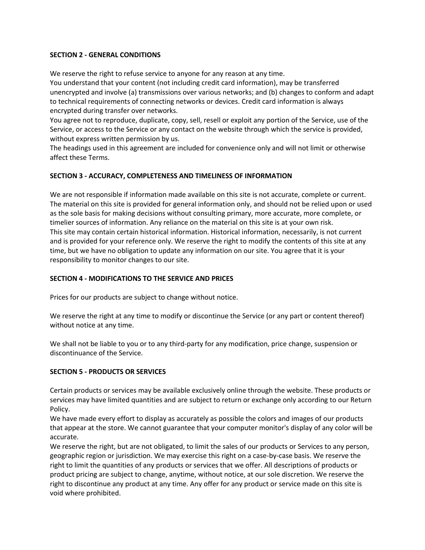# **SECTION 2 - GENERAL CONDITIONS**

We reserve the right to refuse service to anyone for any reason at any time.

You understand that your content (not including credit card information), may be transferred unencrypted and involve (a) transmissions over various networks; and (b) changes to conform and adapt to technical requirements of connecting networks or devices. Credit card information is always encrypted during transfer over networks.

You agree not to reproduce, duplicate, copy, sell, resell or exploit any portion of the Service, use of the Service, or access to the Service or any contact on the website through which the service is provided, without express written permission by us.

The headings used in this agreement are included for convenience only and will not limit or otherwise affect these Terms.

### **SECTION 3 - ACCURACY, COMPLETENESS AND TIMELINESS OF INFORMATION**

We are not responsible if information made available on this site is not accurate, complete or current. The material on this site is provided for general information only, and should not be relied upon orused as the sole basis for making decisions without consulting primary, more accurate, more complete, or timelier sources of information. Any reliance on the material on this site is atyour own risk. This site may contain certain historical information. Historical information, necessarily, is not current and is provided for your reference only. We reserve the right to modify the contents of this site at any time, but we have no obligation to update any information on our site. You agree that it is your responsibility to monitor changes to our site.

### **SECTION 4 - MODIFICATIONS TO THE SERVICE AND PRICES**

Prices for our products are subject to change without notice.

We reserve the right at any time to modify or discontinue the Service (or any part or content thereof) without notice at any time.

We shall not be liable to you or to any third-party for any modification, price change, suspension or discontinuance of the Service.

### **SECTION 5 - PRODUCTS OR SERVICES**

Certain products or services may be available exclusively online through the website. These products or services may have limited quantities and are subject to return or exchange only according to our Return Policy.

We have made every effort to display as accurately as possible the colors and images of our products that appear at the store. We cannot guarantee that your computer monitor's display of any color will be accurate.

We reserve the right, but are not obligated, to limit the sales of our products or Services to any person, geographic region or jurisdiction. We may exercise this right on a case-by-case basis. We reserve the right to limit the quantities of any products or services that we offer. All descriptions of products or product pricing are subject to change, anytime, without notice, at our sole discretion. We reserve the right to discontinue any product at any time. Any offer for any product or service made on this site is void where prohibited.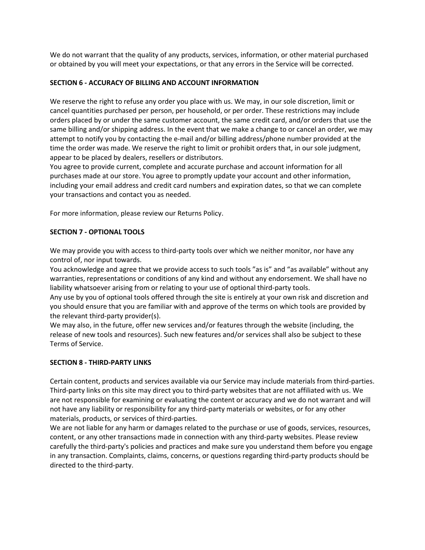We do not warrant that the quality of any products, services, information, or other material purchased or obtained by you will meet your expectations, or that any errors in the Service will be corrected.

# **SECTION 6 - ACCURACY OF BILLING AND ACCOUNT INFORMATION**

We reserve the right to refuse any order you place with us. We may, in our sole discretion, limit or cancel quantities purchased per person, per household, or per order. These restrictions may include orders placed by or under the same customer account, the same credit card, and/or orders that use the same billing and/or shipping address. In the event that we make a change to or cancel an order, we may attempt to notify you by contacting the e-mail and/or billing address/phone number provided at the time the order was made. We reserve the right to limit or prohibit orders that, in our sole judgment, appear to be placed by dealers, resellers or distributors.

You agree to provide current, complete and accurate purchase and account information for all purchases made at our store. You agree to promptly update your account and other information, including your email address and credit card numbers and expiration dates, so that we can complete your transactions and contact you as needed.

For more information, please review our Returns Policy.

# **SECTION 7 - OPTIONAL TOOLS**

We may provide you with access to third-party tools over which we neither monitor, nor have any control of, nor input towards.

You acknowledge and agree that we provide access to such tools "as is" and "as available" without any warranties, representations or conditions of any kind and without any endorsement. We shall have no liability whatsoever arising from or relating to your use of optional third-party tools.

Any use by you of optional tools offered through the site is entirely at your own risk and discretion and you should ensure that you are familiar with and approve of the terms on which tools are provided by the relevant third-party provider(s).

We may also, in the future, offer new services and/or features through the website (including, the release of new tools and resources). Such new features and/or services shall also be subject to these Terms of Service.

# **SECTION 8 - THIRD-PARTY LINKS**

Certain content, products and services available via our Service may include materials from third-parties. Third-party links on this site may direct you to third-party websites that are not affiliated with us. We are not responsible for examining or evaluating the content or accuracy and we do not warrant and will not have any liability or responsibility for any third-party materials or websites, or for any other materials, products, or services of third-parties.

We are not liable for any harm or damages related to the purchase or use of goods, services, resources, content, or any other transactions made in connection with any third-party websites. Please review carefully the third-party's policies and practices and make sure you understand them before you engage in any transaction. Complaints, claims, concerns, or questions regarding third-party products should be directed to the third-party.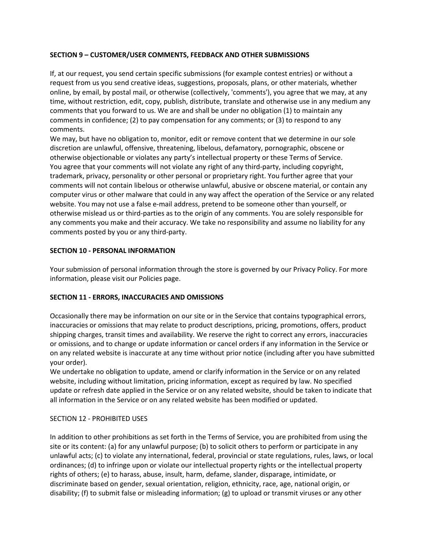# **SECTION 9 – CUSTOMER/USER COMMENTS, FEEDBACK AND OTHER SUBMISSIONS**

If, at our request, you send certain specific submissions (for example contest entries) or without a request from us you send creative ideas, suggestions, proposals, plans, or other materials, whether online, by email, by postal mail, or otherwise (collectively, 'comments'), you agree that we may, at any time, without restriction, edit, copy, publish, distribute, translate and otherwise use in any medium any comments that you forward to us. We are and shall be under no obligation (1) to maintain any comments in confidence; (2) to pay compensation for any comments; or (3) to respond to any comments.

We may, but have no obligation to, monitor, edit or remove content that we determine in our sole discretion are unlawful, offensive, threatening, libelous, defamatory, pornographic, obscene or otherwise objectionable or violates any party's intellectual property or these Terms of Service. You agree that your comments will not violate any right of any third-party, including copyright, trademark, privacy, personality or other personal or proprietary right. You further agree that your comments will not contain libelous or otherwise unlawful, abusive or obscene material, or contain any computer virus or other malware that could in any way affect the operation of the Service or any related website. You may not use a false e-mail address, pretend to be someone other than yourself, or otherwise mislead us or third-parties as to the origin of any comments. You are solely responsible for any comments you make and their accuracy. We take no responsibility and assume no liability for any comments posted by you or any third-party.

### **SECTION 10 - PERSONAL INFORMATION**

Your submission of personal information through the store is governed by our Privacy Policy. For more information, please visit our Policies page.

### **SECTION 11 - ERRORS, INACCURACIES AND OMISSIONS**

Occasionally there may be information on our site or in the Service that contains typographical errors, inaccuracies or omissions that may relate to product descriptions, pricing, promotions, offers, product shipping charges, transit times and availability. We reserve the right to correct any errors, inaccuracies or omissions, and to change or update information or cancel orders if any information in the Service or on any related website is inaccurate at any time without prior notice (including after you have submitted your order).

We undertake no obligation to update, amend or clarify information in the Service or on any related website, including without limitation, pricing information, except as required by law. No specified update or refresh date applied in the Service or on any related website, should be taken to indicate that all information in the Service or on any related website has been modified or updated.

### SECTION 12 - PROHIBITED USES

In addition to other prohibitions as set forth in the Terms of Service, you are prohibited from using the site or its content: (a) for any unlawful purpose; (b) to solicit others to perform or participate in any unlawful acts; (c) to violate any international, federal, provincial or state regulations, rules, laws, or local ordinances; (d) to infringe upon or violate our intellectual property rights or the intellectual property rights of others; (e) to harass, abuse, insult, harm, defame, slander, disparage, intimidate, or discriminate based on gender, sexual orientation, religion, ethnicity, race, age, national origin, or disability; (f) to submit false or misleading information; (g) to upload or transmit viruses or any other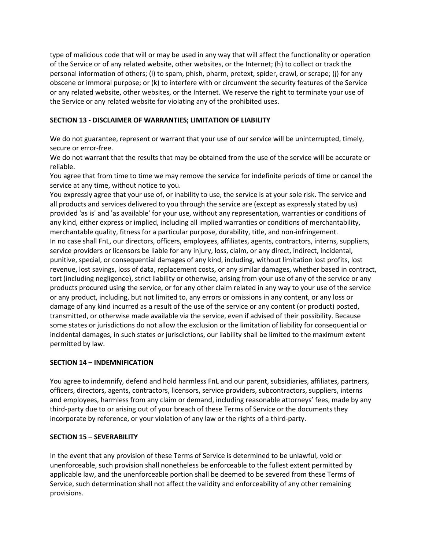type of malicious code that will or may be used in any way that will affect the functionality or operation of the Service or of any related website, other websites, or the Internet; (h) to collect or track the personal information of others; (i) to spam, phish, pharm, pretext, spider, crawl, or scrape; (j) for any obscene or immoral purpose; or (k) to interfere with or circumvent the security features of the Service or any related website, other websites, or the Internet. We reserve the right to terminate your use of the Service or any related website for violating any of the prohibited uses.

# **SECTION 13 - DISCLAIMER OF WARRANTIES; LIMITATION OF LIABILITY**

We do not guarantee, represent or warrant that your use of our service will be uninterrupted, timely, secure or error-free.

We do not warrant that the results that may be obtained from the use of the service will be accurate or reliable.

You agree that from time to time we may remove the service for indefinite periods of time or cancel the service at any time, without notice to you.

You expressly agree that your use of, or inability to use, the service is at your sole risk. The service and all products and services delivered to you through the service are (except as expressly stated by us) provided 'as is' and 'as available' for your use, without any representation, warranties or conditions of any kind, either express or implied, including all implied warranties or conditions of merchantability, merchantable quality, fitness for a particular purpose, durability, title, and non-infringement. In no case shall FnL, our directors, officers, employees, affiliates, agents, contractors, interns, suppliers, service providers or licensors be liable for any injury, loss, claim, or any direct, indirect, incidental, punitive, special, or consequential damages of any kind, including, without limitation lost profits, lost revenue, lost savings, loss of data, replacement costs, or any similar damages, whether based in contract, tort (including negligence), strict liability or otherwise, arising from your use of any of the service or any products procured using the service, or for any other claim related in any way to your use of the service or any product, including, but not limited to, any errors or omissions in any content, or any loss or damage of any kind incurred as a result of the use of the service or any content (or product) posted, transmitted, or otherwise made available via the service, even if advised of their possibility. Because some states or jurisdictions do not allow the exclusion or the limitation of liability for consequential or incidental damages, in such states or jurisdictions, our liability shall be limited to the maximum extent permitted by law.

### **SECTION 14 – INDEMNIFICATION**

You agree to indemnify, defend and hold harmless FnL and our parent, subsidiaries, affiliates, partners, officers, directors, agents, contractors, licensors, service providers, subcontractors, suppliers, interns and employees, harmless from any claim or demand, including reasonable attorneys' fees, made by any third-party due to or arising out of your breach of these Terms of Service or the documents they incorporate by reference, or your violation of any law or the rights of a third-party.

### **SECTION 15 – SEVERABILITY**

In the event that any provision of these Terms of Service is determined to be unlawful, void or unenforceable, such provision shall nonetheless be enforceable to the fullest extent permitted by applicable law, and the unenforceable portion shall be deemed to be severed from these Terms of Service, such determination shall not affect the validity and enforceability of any other remaining provisions.